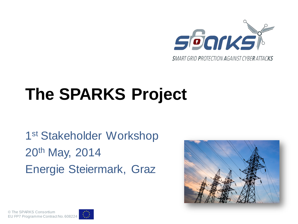

# **The SPARKS Project**

1st Stakeholder Workshop 20th May, 2014 Energie Steiermark, Graz



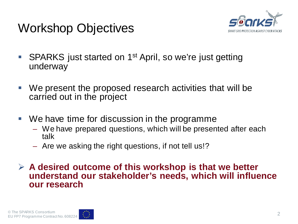



- SPARKS just started on 1<sup>st</sup> April, so we're just getting underway
- We present the proposed research activities that will be carried out in the project
- We have time for discussion in the programme
	- We have prepared questions, which will be presented after each talk
	- Are we asking the right questions, if not tell us!?

 **A desired outcome of this workshop is that we better understand our stakeholder's needs, which will influence our research**

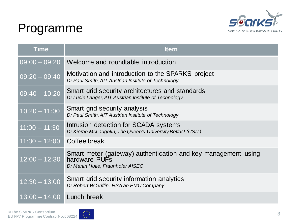#### Programme



| <b>Time</b>     | <b>Item</b>                                                                                                         |
|-----------------|---------------------------------------------------------------------------------------------------------------------|
| $09:00 - 09:20$ | Welcome and roundtable introduction                                                                                 |
| $09:20 - 09:40$ | Motivation and introduction to the SPARKS project<br>Dr Paul Smith, AIT Austrian Institute of Technology            |
| $09:40 - 10:20$ | Smart grid security architectures and standards<br>Dr Lucie Langer, AIT Austrian Institute of Technology            |
| $10:20 - 11:00$ | Smart grid security analysis<br>Dr Paul Smith, AIT Austrian Institute of Technology                                 |
| $11:00 - 11:30$ | Intrusion detection for SCADA systems<br>Dr Kieran McLaughlin, The Queen's University Belfast (CSIT)                |
| $11:30 - 12:00$ | Coffee break                                                                                                        |
| $12:00 - 12:30$ | Smart meter (gateway) authentication and key management using<br>hardware PUFs<br>Dr Martin Hutle, Fraunhofer AISEC |
| $12:30 - 13:00$ | Smart grid security information analytics<br>Dr Robert W Griffin, RSA an EMC Company                                |
| $13:00 - 14:00$ | Lunch break                                                                                                         |

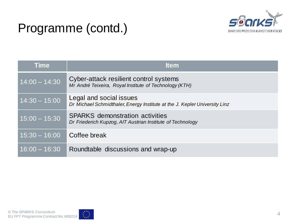

#### Programme (contd.)

| <b>Time</b>     | <b>Item</b>                                                                                           |
|-----------------|-------------------------------------------------------------------------------------------------------|
| $14:00 - 14:30$ | Cyber-attack resilient control systems<br>Mr André Teixeira, Royal Institute of Technology (KTH)      |
| $14:30 - 15:00$ | Legal and social issues<br>Dr Michael Schmidthaler, Energy Institute at the J. Kepler University Linz |
| $15:00 - 15:30$ | <b>SPARKS</b> demonstration activities<br>Dr Friederich Kupzog, AIT Austrian Institute of Technology  |
| $15:30 - 16:00$ | Coffee break                                                                                          |
| $16:00 - 16:30$ | Roundtable discussions and wrap-up                                                                    |

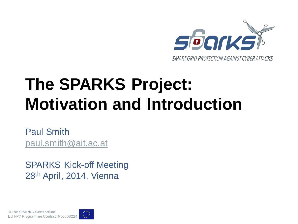

# **The SPARKS Project: Motivation and Introduction**

Paul Smith [paul.smith@ait.ac.at](mailto:paul.smith@ait.ac.at)

SPARKS Kick-off Meeting 28th April, 2014, Vienna

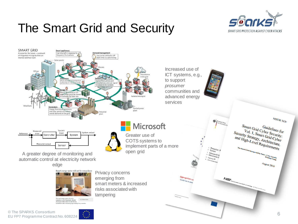# The Smart Grid and Security





© The SPARKS Consortium EU FP7 Programme Contract No. 608224



6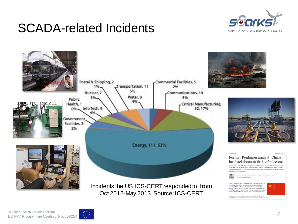#### SCADA-related Incidents





Oct 2012-May 2013, Source: ICS-CERT



In 2000, Huawei was virtually unknown outside China, but by<br>2009 it had grown to be one of the largest, second only to Eric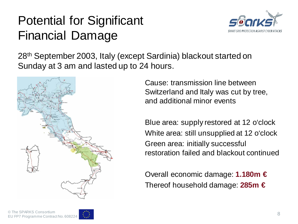# Potential for Significant Financial Damage



28th September 2003, Italy (except Sardinia) blackout started on Sunday at 3 am and lasted up to 24 hours.



Cause: transmission line between Switzerland and Italy was cut by tree, and additional minor events

Blue area: supply restored at 12 o'clock White area: still unsupplied at 12 o'clock Green area: initially successful restoration failed and blackout continued

Overall economic damage: **1.180m €** Thereof household damage: **285m €**

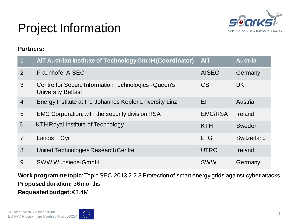

# Project Information

#### **Partners:**

| $\overline{1}$ | AIT Austrian Institute of Technology GmbH (Coordinator)                           | <b>AIT</b>     | <b>Austria</b> |
|----------------|-----------------------------------------------------------------------------------|----------------|----------------|
| 2              | Fraunhofer AISEC                                                                  | <b>AISEC</b>   | Germany        |
| 3              | Centre for Secure Information Technologies - Queen's<br><b>University Belfast</b> | <b>CSIT</b>    | <b>UK</b>      |
| $\overline{4}$ | Energy Institute at the Johannes Kepler University Linz                           | EI             | Austria        |
| 5              | EMC Corporation, with the security division RSA                                   | <b>EMC/RSA</b> | Ireland        |
| 6              | <b>KTH Royal Institute of Technology</b>                                          | <b>KTH</b>     | Sweden         |
| $\overline{7}$ | Landis + Gyr                                                                      | $L + G$        | Switzerland    |
| 8              | United Technologies Research Centre                                               | <b>UTRC</b>    | Ireland        |
| 9              | <b>SWW Wunsiedel GmbH</b>                                                         | <b>SWW</b>     | Germany        |

**Work programme topic**: Topic SEC-2013.2.2-3 Protection of smart energy grids against cyber attacks **Proposed duration:** 36 months **Requested budget:** €3.4M

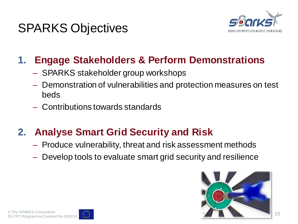### SPARKS Objectives



#### **1. Engage Stakeholders & Perform Demonstrations**

- SPARKS stakeholder group workshops
- Demonstration of vulnerabilities and protection measures on test beds
- Contributions towards standards

#### **2. Analyse Smart Grid Security and Risk**

- Produce vulnerability, threat and risk assessment methods
- Develop tools to evaluate smart grid security and resilience



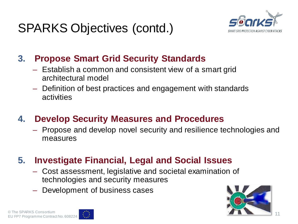

#### **3. Propose Smart Grid Security Standards**

- Establish a common and consistent view of a smart grid architectural model
- Definition of best practices and engagement with standards activities

#### **4. Develop Security Measures and Procedures**

– Propose and develop novel security and resilience technologies and measures

#### **5. Investigate Financial, Legal and Social Issues**

- Cost assessment, legislative and societal examination of technologies and security measures
- Development of business cases



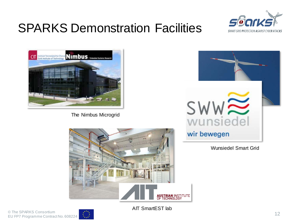# SPARKS Demonstration Facilities





The Nimbus Microgrid



Wunsiedel Smart Grid



AIT SmartEST lab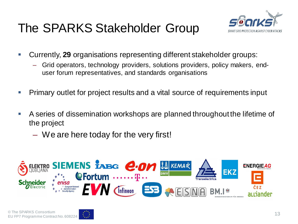# The SPARKS Stakeholder Group



- Currently, **29** organisations representing different stakeholder groups:
	- Grid operators, technology providers, solutions providers, policy makers, enduser forum representatives, and standards organisations
- Primary outlet for project results and a vital source of requirements input
- A series of dissemination workshops are planned throughout the lifetime of the project
	- We are here today for the very first!